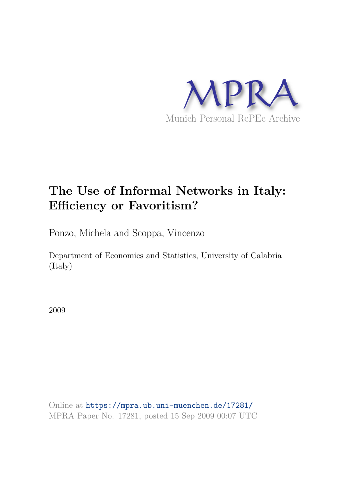

# **The Use of Informal Networks in Italy: Efficiency or Favoritism?**

Ponzo, Michela and Scoppa, Vincenzo

Department of Economics and Statistics, University of Calabria (Italy)

2009

Online at https://mpra.ub.uni-muenchen.de/17281/ MPRA Paper No. 17281, posted 15 Sep 2009 00:07 UTC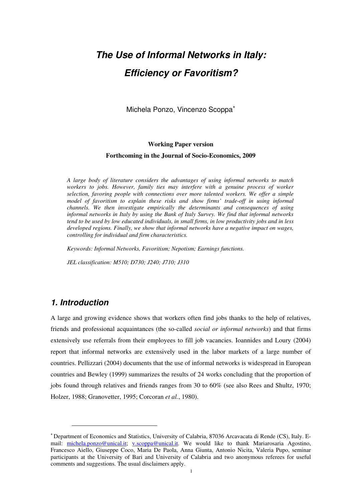# *The Use of Informal Networks in Italy: Efficiency or Favoritism?*

Michela Ponzo, Vincenzo Scoppa<sup>\*</sup>

# **Working Paper version Forthcoming in the Journal of Socio-Economics, 2009**

*A large body of literature considers the advantages of using informal networks to match workers to jobs. However, family ties may interfere with a genuine process of worker selection, favoring people with connections over more talented workers. We offer a simple model of favoritism to explain these risks and show firms' trade-off in using informal channels. We then investigate empirically the determinants and consequences of using informal networks in Italy by using the Bank of Italy Survey. We find that informal networks tend to be used by low educated individuals, in small firms, in low productivity jobs and in less developed regions. Finally, we show that informal networks have a negative impact on wages, controlling for individual and firm characteristics.* 

*Keywords: Informal Networks, Favoritism; Nepotism; Earnings functions.* 

*JEL classification: M510; D730; J240; J710; J310* 

# *1. Introduction*

 $\overline{a}$ 

A large and growing evidence shows that workers often find jobs thanks to the help of relatives, friends and professional acquaintances (the so-called *social or informal networks*) and that firms extensively use referrals from their employees to fill job vacancies. Ioannides and Loury (2004) report that informal networks are extensively used in the labor markets of a large number of countries. Pellizzari (2004) documents that the use of informal networks is widespread in European countries and Bewley (1999) summarizes the results of 24 works concluding that the proportion of jobs found through relatives and friends ranges from 30 to 60% (see also Rees and Shultz, 1970; Holzer, 1988; Granovetter, 1995; Corcoran *et al.*, 1980).

<sup>∗</sup> Department of Economics and Statistics, University of Calabria, 87036 Arcavacata di Rende (CS), Italy. Email: michela.ponzo@unical.it; v.scoppa@unical.it. We would like to thank Mariarosaria Agostino, Francesco Aiello, Giuseppe Coco, Maria De Paola, Anna Giunta, Antonio Nicita, Valeria Pupo, seminar participants at the University of Bari and University of Calabria and two anonymous referees for useful comments and suggestions. The usual disclaimers apply.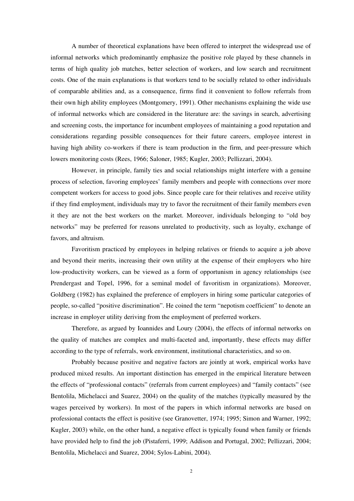A number of theoretical explanations have been offered to interpret the widespread use of informal networks which predominantly emphasize the positive role played by these channels in terms of high quality job matches, better selection of workers, and low search and recruitment costs. One of the main explanations is that workers tend to be socially related to other individuals of comparable abilities and, as a consequence, firms find it convenient to follow referrals from their own high ability employees (Montgomery, 1991). Other mechanisms explaining the wide use of informal networks which are considered in the literature are: the savings in search, advertising and screening costs, the importance for incumbent employees of maintaining a good reputation and considerations regarding possible consequences for their future careers, employee interest in having high ability co-workers if there is team production in the firm, and peer-pressure which lowers monitoring costs (Rees, 1966; Saloner, 1985; Kugler, 2003; Pellizzari, 2004).

However, in principle, family ties and social relationships might interfere with a genuine process of selection, favoring employees' family members and people with connections over more competent workers for access to good jobs. Since people care for their relatives and receive utility if they find employment, individuals may try to favor the recruitment of their family members even it they are not the best workers on the market. Moreover, individuals belonging to "old boy networks" may be preferred for reasons unrelated to productivity, such as loyalty, exchange of favors, and altruism.

Favoritism practiced by employees in helping relatives or friends to acquire a job above and beyond their merits, increasing their own utility at the expense of their employers who hire low-productivity workers, can be viewed as a form of opportunism in agency relationships (see Prendergast and Topel, 1996, for a seminal model of favoritism in organizations). Moreover, Goldberg (1982) has explained the preference of employers in hiring some particular categories of people, so-called "positive discrimination". He coined the term "nepotism coefficient" to denote an increase in employer utility deriving from the employment of preferred workers.

Therefore, as argued by Ioannides and Loury (2004), the effects of informal networks on the quality of matches are complex and multi-faceted and, importantly, these effects may differ according to the type of referrals, work environment, institutional characteristics, and so on.

Probably because positive and negative factors are jointly at work, empirical works have produced mixed results. An important distinction has emerged in the empirical literature between the effects of "professional contacts" (referrals from current employees) and "family contacts" (see Bentolila, Michelacci and Suarez, 2004) on the quality of the matches (typically measured by the wages perceived by workers). In most of the papers in which informal networks are based on professional contacts the effect is positive (see Granovetter, 1974; 1995; Simon and Warner, 1992; Kugler, 2003) while, on the other hand, a negative effect is typically found when family or friends have provided help to find the job (Pistaferri, 1999; Addison and Portugal, 2002; Pellizzari, 2004; Bentolila, Michelacci and Suarez, 2004; Sylos-Labini, 2004).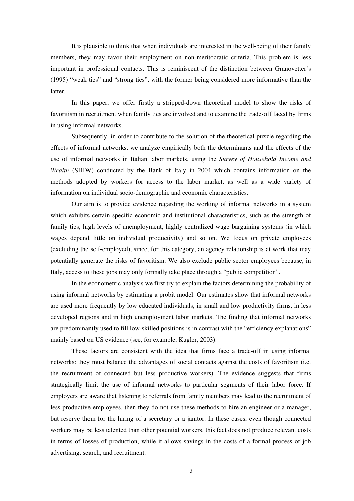It is plausible to think that when individuals are interested in the well-being of their family members, they may favor their employment on non-meritocratic criteria. This problem is less important in professional contacts. This is reminiscent of the distinction between Granovetter's (1995) "weak ties" and "strong ties", with the former being considered more informative than the latter.

In this paper, we offer firstly a stripped-down theoretical model to show the risks of favoritism in recruitment when family ties are involved and to examine the trade-off faced by firms in using informal networks.

Subsequently, in order to contribute to the solution of the theoretical puzzle regarding the effects of informal networks, we analyze empirically both the determinants and the effects of the use of informal networks in Italian labor markets, using the *Survey of Household Income and Wealth* (SHIW) conducted by the Bank of Italy in 2004 which contains information on the methods adopted by workers for access to the labor market, as well as a wide variety of information on individual socio-demographic and economic characteristics.

Our aim is to provide evidence regarding the working of informal networks in a system which exhibits certain specific economic and institutional characteristics, such as the strength of family ties, high levels of unemployment, highly centralized wage bargaining systems (in which wages depend little on individual productivity) and so on. We focus on private employees (excluding the self-employed), since, for this category, an agency relationship is at work that may potentially generate the risks of favoritism. We also exclude public sector employees because, in Italy, access to these jobs may only formally take place through a "public competition".

In the econometric analysis we first try to explain the factors determining the probability of using informal networks by estimating a probit model. Our estimates show that informal networks are used more frequently by low educated individuals, in small and low productivity firms, in less developed regions and in high unemployment labor markets. The finding that informal networks are predominantly used to fill low-skilled positions is in contrast with the "efficiency explanations" mainly based on US evidence (see, for example, Kugler, 2003).

These factors are consistent with the idea that firms face a trade-off in using informal networks: they must balance the advantages of social contacts against the costs of favoritism (i.e. the recruitment of connected but less productive workers). The evidence suggests that firms strategically limit the use of informal networks to particular segments of their labor force. If employers are aware that listening to referrals from family members may lead to the recruitment of less productive employees, then they do not use these methods to hire an engineer or a manager, but reserve them for the hiring of a secretary or a janitor. In these cases, even though connected workers may be less talented than other potential workers, this fact does not produce relevant costs in terms of losses of production, while it allows savings in the costs of a formal process of job advertising, search, and recruitment.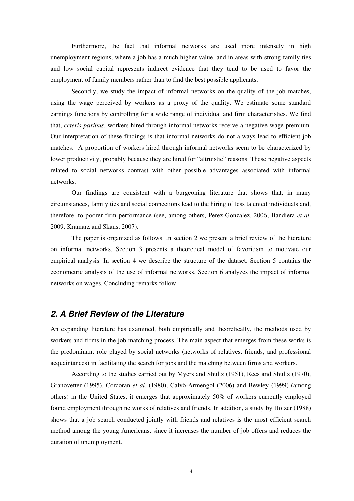Furthermore, the fact that informal networks are used more intensely in high unemployment regions, where a job has a much higher value, and in areas with strong family ties and low social capital represents indirect evidence that they tend to be used to favor the employment of family members rather than to find the best possible applicants.

Secondly, we study the impact of informal networks on the quality of the job matches, using the wage perceived by workers as a proxy of the quality. We estimate some standard earnings functions by controlling for a wide range of individual and firm characteristics. We find that, *ceteris paribus*, workers hired through informal networks receive a negative wage premium. Our interpretation of these findings is that informal networks do not always lead to efficient job matches. A proportion of workers hired through informal networks seem to be characterized by lower productivity, probably because they are hired for "altruistic" reasons. These negative aspects related to social networks contrast with other possible advantages associated with informal networks.

Our findings are consistent with a burgeoning literature that shows that, in many circumstances, family ties and social connections lead to the hiring of less talented individuals and, therefore, to poorer firm performance (see, among others, Perez-Gonzalez, 2006; Bandiera *et al.* 2009, Kramarz and Skans, 2007).

The paper is organized as follows. In section 2 we present a brief review of the literature on informal networks. Section 3 presents a theoretical model of favoritism to motivate our empirical analysis. In section 4 we describe the structure of the dataset. Section 5 contains the econometric analysis of the use of informal networks. Section 6 analyzes the impact of informal networks on wages. Concluding remarks follow.

#### *2. A Brief Review of the Literature*

An expanding literature has examined, both empirically and theoretically, the methods used by workers and firms in the job matching process. The main aspect that emerges from these works is the predominant role played by social networks (networks of relatives, friends, and professional acquaintances) in facilitating the search for jobs and the matching between firms and workers.

According to the studies carried out by Myers and Shultz (1951), Rees and Shultz (1970), Granovetter (1995), Corcoran *et al.* (1980), Calvò-Armengol (2006) and Bewley (1999) (among others) in the United States, it emerges that approximately 50% of workers currently employed found employment through networks of relatives and friends. In addition, a study by Holzer (1988) shows that a job search conducted jointly with friends and relatives is the most efficient search method among the young Americans, since it increases the number of job offers and reduces the duration of unemployment.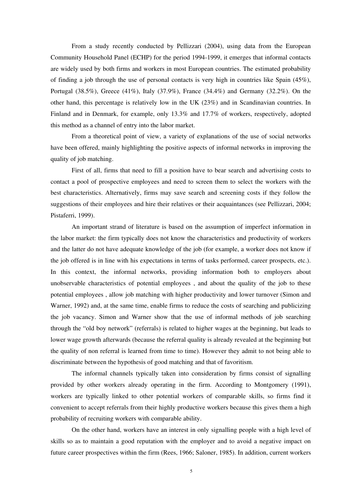From a study recently conducted by Pellizzari (2004), using data from the European Community Household Panel (ECHP) for the period 1994-1999, it emerges that informal contacts are widely used by both firms and workers in most European countries. The estimated probability of finding a job through the use of personal contacts is very high in countries like Spain (45%), Portugal (38.5%), Greece (41%), Italy (37.9%), France (34.4%) and Germany (32.2%). On the other hand, this percentage is relatively low in the UK (23%) and in Scandinavian countries. In Finland and in Denmark, for example, only 13.3% and 17.7% of workers, respectively, adopted this method as a channel of entry into the labor market.

From a theoretical point of view, a variety of explanations of the use of social networks have been offered, mainly highlighting the positive aspects of informal networks in improving the quality of job matching.

First of all, firms that need to fill a position have to bear search and advertising costs to contact a pool of prospective employees and need to screen them to select the workers with the best characteristics. Alternatively, firms may save search and screening costs if they follow the suggestions of their employees and hire their relatives or their acquaintances (see Pellizzari, 2004; Pistaferri, 1999).

An important strand of literature is based on the assumption of imperfect information in the labor market: the firm typically does not know the characteristics and productivity of workers and the latter do not have adequate knowledge of the job (for example, a worker does not know if the job offered is in line with his expectations in terms of tasks performed, career prospects, etc.). In this context, the informal networks, providing information both to employers about unobservable characteristics of potential employees , and about the quality of the job to these potential employees , allow job matching with higher productivity and lower turnover (Simon and Warner, 1992) and, at the same time, enable firms to reduce the costs of searching and publicizing the job vacancy. Simon and Warner show that the use of informal methods of job searching through the "old boy network" (referrals) is related to higher wages at the beginning, but leads to lower wage growth afterwards (because the referral quality is already revealed at the beginning but the quality of non referral is learned from time to time). However they admit to not being able to discriminate between the hypothesis of good matching and that of favoritism.

The informal channels typically taken into consideration by firms consist of signalling provided by other workers already operating in the firm. According to Montgomery (1991), workers are typically linked to other potential workers of comparable skills, so firms find it convenient to accept referrals from their highly productive workers because this gives them a high probability of recruiting workers with comparable ability.

On the other hand, workers have an interest in only signalling people with a high level of skills so as to maintain a good reputation with the employer and to avoid a negative impact on future career prospectives within the firm (Rees, 1966; Saloner, 1985). In addition, current workers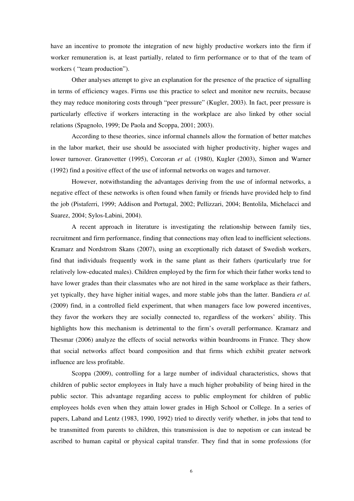have an incentive to promote the integration of new highly productive workers into the firm if worker remuneration is, at least partially, related to firm performance or to that of the team of workers ( "team production").

Other analyses attempt to give an explanation for the presence of the practice of signalling in terms of efficiency wages. Firms use this practice to select and monitor new recruits, because they may reduce monitoring costs through "peer pressure" (Kugler, 2003). In fact, peer pressure is particularly effective if workers interacting in the workplace are also linked by other social relations (Spagnolo, 1999; De Paola and Scoppa, 2001; 2003).

According to these theories, since informal channels allow the formation of better matches in the labor market, their use should be associated with higher productivity, higher wages and lower turnover. Granovetter (1995), Corcoran *et al.* (1980), Kugler (2003), Simon and Warner (1992) find a positive effect of the use of informal networks on wages and turnover.

However, notwithstanding the advantages deriving from the use of informal networks, a negative effect of these networks is often found when family or friends have provided help to find the job (Pistaferri, 1999; Addison and Portugal, 2002; Pellizzari, 2004; Bentolila, Michelacci and Suarez, 2004; Sylos-Labini, 2004).

A recent approach in literature is investigating the relationship between family ties, recruitment and firm performance, finding that connections may often lead to inefficient selections. Kramarz and Nordstrom Skans (2007), using an exceptionally rich dataset of Swedish workers, find that individuals frequently work in the same plant as their fathers (particularly true for relatively low-educated males). Children employed by the firm for which their father works tend to have lower grades than their classmates who are not hired in the same workplace as their fathers, yet typically, they have higher initial wages, and more stable jobs than the latter. Bandiera *et al.* (2009) find, in a controlled field experiment, that when managers face low powered incentives, they favor the workers they are socially connected to, regardless of the workers' ability. This highlights how this mechanism is detrimental to the firm's overall performance. Kramarz and Thesmar (2006) analyze the effects of social networks within boardrooms in France. They show that social networks affect board composition and that firms which exhibit greater network influence are less profitable.

Scoppa (2009), controlling for a large number of individual characteristics, shows that children of public sector employees in Italy have a much higher probability of being hired in the public sector. This advantage regarding access to public employment for children of public employees holds even when they attain lower grades in High School or College. In a series of papers, Laband and Lentz (1983, 1990, 1992) tried to directly verify whether, in jobs that tend to be transmitted from parents to children, this transmission is due to nepotism or can instead be ascribed to human capital or physical capital transfer. They find that in some professions (for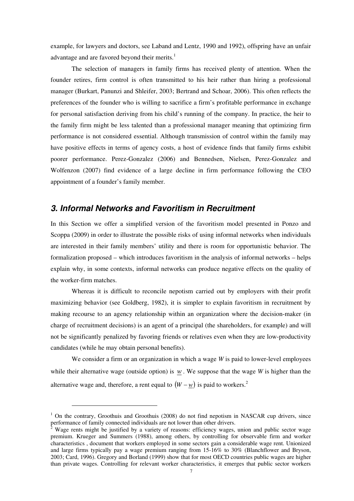example, for lawyers and doctors, see Laband and Lentz, 1990 and 1992), offspring have an unfair advantage and are favored beyond their merits. $<sup>1</sup>$ </sup>

The selection of managers in family firms has received plenty of attention. When the founder retires, firm control is often transmitted to his heir rather than hiring a professional manager (Burkart, Panunzi and Shleifer, 2003; Bertrand and Schoar, 2006). This often reflects the preferences of the founder who is willing to sacrifice a firm's profitable performance in exchange for personal satisfaction deriving from his child's running of the company. In practice, the heir to the family firm might be less talented than a professional manager meaning that optimizing firm performance is not considered essential. Although transmission of control within the family may have positive effects in terms of agency costs, a host of evidence finds that family firms exhibit poorer performance. Perez-Gonzalez (2006) and Bennedsen, Nielsen, Perez-Gonzalez and Wolfenzon (2007) find evidence of a large decline in firm performance following the CEO appointment of a founder's family member.

#### *3. Informal Networks and Favoritism in Recruitment*

In this Section we offer a simplified version of the favoritism model presented in Ponzo and Scoppa (2009) in order to illustrate the possible risks of using informal networks when individuals are interested in their family members' utility and there is room for opportunistic behavior. The formalization proposed – which introduces favoritism in the analysis of informal networks – helps explain why, in some contexts, informal networks can produce negative effects on the quality of the worker-firm matches.

Whereas it is difficult to reconcile nepotism carried out by employers with their profit maximizing behavior (see Goldberg, 1982), it is simpler to explain favoritism in recruitment by making recourse to an agency relationship within an organization where the decision-maker (in charge of recruitment decisions) is an agent of a principal (the shareholders, for example) and will not be significantly penalized by favoring friends or relatives even when they are low-productivity candidates (while he may obtain personal benefits).

We consider a firm or an organization in which a wage *W* is paid to lower-level employees while their alternative wage (outside option) is *w* . We suppose that the wage *W* is higher than the alternative wage and, therefore, a rent equal to  $(W - w)$  is paid to workers.<sup>2</sup>

 $\overline{a}$ 

<sup>&</sup>lt;sup>1</sup> On the contrary, Groothuis and Groothuis (2008) do not find nepotism in NASCAR cup drivers, since

performance of family connected individuals are not lower than other drivers.<br><sup>2</sup> Wage rents might be justified by a variety of reasons: efficiency wages, union and public sector wage premium. Krueger and Summers (1988), among others, by controlling for observable firm and worker characteristics , document that workers employed in some sectors gain a considerable wage rent. Unionized and large firms typically pay a wage premium ranging from 15-16% to 30% (Blanchflower and Bryson, 2003; Card, 1996). Gregory and Borland (1999) show that for most OECD countries public wages are higher than private wages. Controlling for relevant worker characteristics, it emerges that public sector workers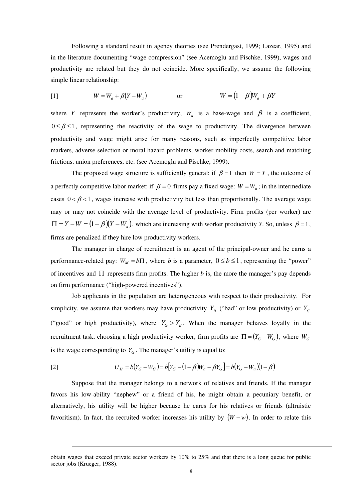Following a standard result in agency theories (see Prendergast, 1999; Lazear, 1995) and in the literature documenting "wage compression" (see Acemoglu and Pischke, 1999), wages and productivity are related but they do not coincide. More specifically, we assume the following simple linear relationship:

$$
W = W_a + \beta (Y - W_a) \qquad \text{or} \qquad W = (1 - \beta)W_a + \beta Y
$$

where *Y* represents the worker's productivity,  $W_a$  is a base-wage and  $\beta$  is a coefficient,  $0 \le \beta \le 1$ , representing the reactivity of the wage to productivity. The divergence between productivity and wage might arise for many reasons, such as imperfectly competitive labor markers, adverse selection or moral hazard problems, worker mobility costs, search and matching frictions, union preferences, etc. (see Acemoglu and Pischke, 1999).

The proposed wage structure is sufficiently general: if  $\beta = 1$  then  $W = Y$ , the outcome of a perfectly competitive labor market; if  $\beta = 0$  firms pay a fixed wage:  $W = W_a$ ; in the intermediate cases  $0 < \beta < 1$ , wages increase with productivity but less than proportionally. The average wage may or may not coincide with the average level of productivity. Firm profits (per worker) are  $\Pi = Y - W = (1 - \beta)(Y - W_a)$ , which are increasing with worker productivity *Y*. So, unless  $\beta = 1$ , firms are penalized if they hire low productivity workers.

The manager in charge of recruitment is an agent of the principal-owner and he earns a performance-related pay:  $W_M = b\Pi$ , where *b* is a parameter,  $0 \le b \le 1$ , representing the "power" of incentives and  $\Pi$  represents firm profits. The higher *b* is, the more the manager's pay depends on firm performance ("high-powered incentives").

Job applicants in the population are heterogeneous with respect to their productivity. For simplicity, we assume that workers may have productivity  $Y_B$  ("bad" or low productivity) or  $Y_G$ ("good" or high productivity), where  $Y_G > Y_B$ . When the manager behaves loyally in the recruitment task, choosing a high productivity worker, firm profits are  $\Pi = (Y_G - W_G)$ , where  $W_G$ is the wage corresponding to  $Y_G$ . The manager's utility is equal to:

$$
U_H = b(Y_G - W_G) = b[Y_G - (1 - \beta)W_a - \beta Y_G] = b(Y_G - W_a)(1 - \beta)
$$

 $\overline{a}$ 

Suppose that the manager belongs to a network of relatives and friends. If the manager favors his low-ability "nephew" or a friend of his, he might obtain a pecuniary benefit, or alternatively, his utility will be higher because he cares for his relatives or friends (altruistic favoritism). In fact, the recruited worker increases his utility by  $(W - w)$ . In order to relate this

obtain wages that exceed private sector workers by 10% to 25% and that there is a long queue for public sector jobs (Krueger, 1988).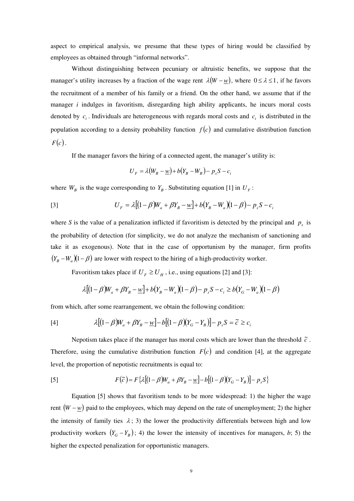aspect to empirical analysis, we presume that these types of hiring would be classified by employees as obtained through "informal networks".

Without distinguishing between pecuniary or altruistic benefits, we suppose that the manager's utility increases by a fraction of the wage rent  $\lambda(W - w)$ , where  $0 \le \lambda \le 1$ , if he favors the recruitment of a member of his family or a friend. On the other hand, we assume that if the manager *i* indulges in favoritism, disregarding high ability applicants, he incurs moral costs denoted by  $c_i$ . Individuals are heterogeneous with regards moral costs and  $c_i$  is distributed in the population according to a density probability function  $f(c)$  and cumulative distribution function  $F(c)$ .

If the manager favors the hiring of a connected agent, the manager's utility is:

$$
U_F = \lambda (W_B - \underline{w}) + b(Y_B - W_B) - p_s S - c_i
$$

where  $W_B$  is the wage corresponding to  $Y_B$ . Substituting equation [1] in  $U_F$ :

[3] 
$$
U_F = \lambda [(1 - \beta)W_a + \beta Y_B - \underline{w}] + b(Y_B - W_a)(1 - \beta) - p_s S - c_i
$$

where *S* is the value of a penalization inflicted if favoritism is detected by the principal and  $p_s$  is the probability of detection (for simplicity, we do not analyze the mechanism of sanctioning and take it as exogenous). Note that in the case of opportunism by the manager, firm profits  $(Y_B - W_a)(1 - \beta)$  are lower with respect to the hiring of a high-productivity worker.

Favoritism takes place if  $U_F \ge U_H$ , i.e., using equations [2] and [3]:

$$
\lambda [(1-\beta)W_a + \beta Y_B - \underline{w}] + b(Y_B - W_a)(1-\beta) - p_s S - c_i \ge b(Y_G - W_a)(1-\beta)
$$

from which, after some rearrangement, we obtain the following condition:

$$
[4] \qquad \lambda \left[ (1 - \beta) W_a + \beta Y_B - \underline{w} \right] - b \left[ (1 - \beta) (Y_G - Y_B) \right] - p_s S = \tilde{c} \ge c_i
$$

Nepotism takes place if the manager has moral costs which are lower than the threshold  $\tilde{c}$ . Therefore, using the cumulative distribution function  $F(c)$  and condition [4], at the aggregate level, the proportion of nepotistic recruitments is equal to:

$$
F(\tilde{c}) = F\left\{\lambda\left[(1-\beta)W_a + \beta Y_B - \underline{w}\right] - b\left[(1-\beta)(Y_G - Y_B)\right] - p_s S\right\}
$$

Equation [5] shows that favoritism tends to be more widespread: 1) the higher the wage rent  $(W - w)$  paid to the employees, which may depend on the rate of unemployment; 2) the higher the intensity of family ties  $\lambda$ ; 3) the lower the productivity differentials between high and low productivity workers  $(Y_G - Y_B)$ ; 4) the lower the intensity of incentives for managers, *b*; 5) the higher the expected penalization for opportunistic managers.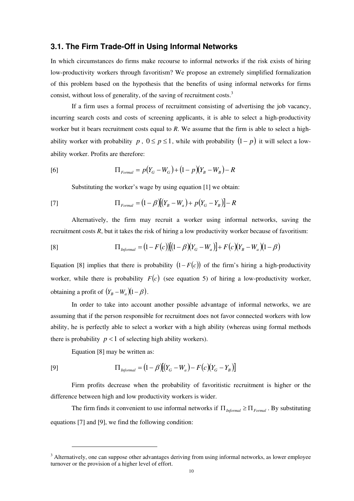#### **3.1. The Firm Trade-Off in Using Informal Networks**

In which circumstances do firms make recourse to informal networks if the risk exists of hiring low-productivity workers through favoritism? We propose an extremely simplified formalization of this problem based on the hypothesis that the benefits of using informal networks for firms consist, without loss of generality, of the saving of recruitment costs.<sup>3</sup>

If a firm uses a formal process of recruitment consisting of advertising the job vacancy, incurring search costs and costs of screening applicants, it is able to select a high-productivity worker but it bears recruitment costs equal to *R*. We assume that the firm is able to select a highability worker with probability *p*,  $0 \le p \le 1$ , while with probability  $(1-p)$  it will select a lowability worker. Profits are therefore:

[6] 
$$
\Pi_{\text{Formal}} = p(Y_G - W_G) + (1 - p)(Y_B - W_B) - R
$$

Substituting the worker's wage by using equation [1] we obtain:

[7] 
$$
\Pi_{\text{Formal}} = (1 - \beta)[(Y_B - W_a) + p(Y_G - Y_B)] - R
$$

Alternatively, the firm may recruit a worker using informal networks, saving the recruitment costs *R*, but it takes the risk of hiring a low productivity worker because of favoritism:

$$
[8] \qquad \qquad \Pi_{\text{Informational}} = (1 - F(c))[(1 - \beta)(Y_G - W_a)] + F(c)(Y_B - W_a)(1 - \beta)
$$

Equation [8] implies that there is probability  $(1 - F(c))$  of the firm's hiring a high-productivity worker, while there is probability  $F(c)$  (see equation 5) of hiring a low-productivity worker, obtaining a profit of  $(Y_B - W_a)(1 - \beta)$ .

In order to take into account another possible advantage of informal networks, we are assuming that if the person responsible for recruitment does not favor connected workers with low ability, he is perfectly able to select a worker with a high ability (whereas using formal methods there is probability  $p < 1$  of selecting high ability workers).

Equation [8] may be written as:

 $\overline{a}$ 

$$
[9] \qquad \qquad \Pi_{\text{Informational}} = (1 - \beta)[(Y_G - W_a) - F(c)(Y_G - Y_B)]
$$

Firm profits decrease when the probability of favoritistic recruitment is higher or the difference between high and low productivity workers is wider.

The firm finds it convenient to use informal networks if Π*Informal* ≥ Π*Formal* . By substituting equations [7] and [9], we find the following condition:

<sup>&</sup>lt;sup>3</sup> Alternatively, one can suppose other advantages deriving from using informal networks, as lower employee turnover or the provision of a higher level of effort.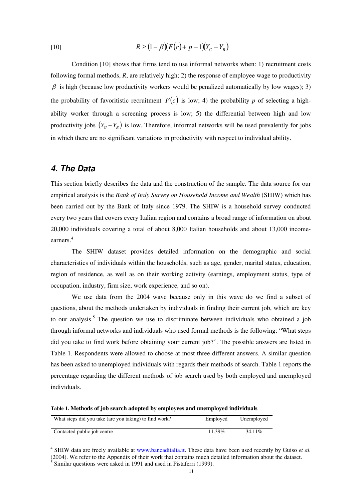[10] 
$$
R \ge (1 - \beta)(F(c) + p - 1)(Y_c - Y_p)
$$

Condition [10] shows that firms tend to use informal networks when: 1) recruitment costs following formal methods, *R*, are relatively high; 2) the response of employee wage to productivity  $\beta$  is high (because low productivity workers would be penalized automatically by low wages); 3) the probability of favoritistic recruitment  $F(c)$  is low; 4) the probability *p* of selecting a highability worker through a screening process is low; 5) the differential between high and low productivity jobs  $(Y_G - Y_B)$  is low. Therefore, informal networks will be used prevalently for jobs in which there are no significant variations in productivity with respect to individual ability.

#### *4. The Data*

This section briefly describes the data and the construction of the sample. The data source for our empirical analysis is the *Bank of Italy Survey on Household Income and Wealth* (SHIW) which has been carried out by the Bank of Italy since 1979. The SHIW is a household survey conducted every two years that covers every Italian region and contains a broad range of information on about 20,000 individuals covering a total of about 8,000 Italian households and about 13,000 incomeearners.<sup>4</sup>

The SHIW dataset provides detailed information on the demographic and social characteristics of individuals within the households, such as age, gender, marital status, education, region of residence, as well as on their working activity (earnings, employment status, type of occupation, industry, firm size, work experience, and so on).

We use data from the 2004 wave because only in this wave do we find a subset of questions, about the methods undertaken by individuals in finding their current job, which are key to our analysis.<sup>5</sup> The question we use to discriminate between individuals who obtained a job through informal networks and individuals who used formal methods is the following: "What steps did you take to find work before obtaining your current job?". The possible answers are listed in Table 1. Respondents were allowed to choose at most three different answers. A similar question has been asked to unemployed individuals with regards their methods of search. Table 1 reports the percentage regarding the different methods of job search used by both employed and unemployed individuals.

**Table 1. Methods of job search adopted by employees and unemployed individuals** 

| What steps did you take (are you taking) to find work? | Employed | Unemployed |
|--------------------------------------------------------|----------|------------|
| Contacted public job centre                            | 11.39%   | 34.11\%    |

<sup>&</sup>lt;sup>4</sup> SHIW data are freely available at www.bancaditalia.it. These data have been used recently by Guiso et al. (2004). We refer to the Appendix of their work that contains much detailed information about the dataset.<br>
<sup>5</sup> Similar questions were asked in 1991 and used in Pistaferri (1999).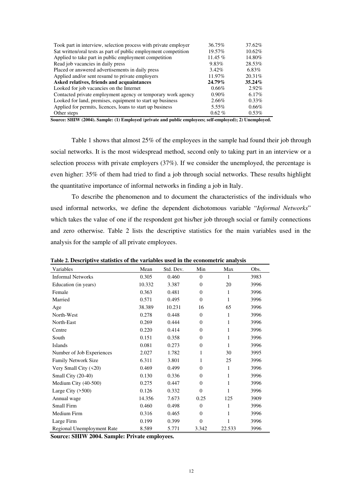| Took part in interview, selection process with private employer | 36.75%    | 37.62%    |
|-----------------------------------------------------------------|-----------|-----------|
| Sat written/oral tests as part of public employment competition | 19.57%    | 10.62%    |
| Applied to take part in public employment competition           | 11.45 %   | 14.80%    |
| Read job vacancies in daily press                               | 9.83%     | 28.53%    |
| Placed or answered advertisements in daily press                | $3.42\%$  | $6.83\%$  |
| Applied and/or sent resumé to private employers                 | 11.97%    | 20.31%    |
| Asked relatives, friends and acquaintances                      | 24.79%    | $35.24\%$ |
| Looked for job vacancies on the Internet                        | 0.66%     | $2.92\%$  |
| Contacted private employment agency or temporary work agency    | $0.90\%$  | $6.17\%$  |
| Looked for land, premises, equipment to start up business       | 2.66%     | $0.33\%$  |
| Applied for permits, licences, loans to start up business       | 5.55%     | 0.66%     |
| Other steps                                                     | $0.62 \%$ | $0.53\%$  |

**Source: SHIW (2004). Sample: (1) Employed (private and public employees; self-employed); 2) Unemployed.** 

Table 1 shows that almost 25% of the employees in the sample had found their job through social networks. It is the most widespread method, second only to taking part in an interview or a selection process with private employers (37%). If we consider the unemployed, the percentage is even higher: 35% of them had tried to find a job through social networks. These results highlight the quantitative importance of informal networks in finding a job in Italy.

To describe the phenomenon and to document the characteristics of the individuals who used informal networks, we define the dependent dichotomous variable "*Informal Networks*" which takes the value of one if the respondent got his/her job through social or family connections and zero otherwise. Table 2 lists the descriptive statistics for the main variables used in the analysis for the sample of all private employees.

| Variables                  | Mean   | Std. Dev. | Min          | Max    | Obs. |
|----------------------------|--------|-----------|--------------|--------|------|
| <b>Informal Networks</b>   | 0.305  | 0.460     | $\Omega$     | 1      | 3983 |
| Education (in years)       | 10.332 | 3.387     | $\Omega$     | 20     | 3996 |
| Female                     | 0.363  | 0.481     | $\Omega$     | 1      | 3996 |
| Married                    | 0.571  | 0.495     | $\Omega$     | 1      | 3996 |
| Age                        | 38.389 | 10.231    | 16           | 65     | 3996 |
| North-West                 | 0.278  | 0.448     | $\Omega$     | 1      | 3996 |
| North-East                 | 0.269  | 0.444     | $\Omega$     | 1      | 3996 |
| Centre                     | 0.220  | 0.414     | $\mathbf{0}$ | 1      | 3996 |
| South                      | 0.151  | 0.358     | $\Omega$     | 1      | 3996 |
| <b>Islands</b>             | 0.081  | 0.273     | $\Omega$     | 1      | 3996 |
| Number of Job Experiences  | 2.027  | 1.782     | 1            | 30     | 3995 |
| Family Network Size        | 6.311  | 3.801     | 1            | 25     | 3996 |
| Very Small City (<20)      | 0.469  | 0.499     | $\Omega$     | 1      | 3996 |
| Small City (20-40)         | 0.130  | 0.336     | $\Omega$     | 1      | 3996 |
| Medium City (40-500)       | 0.275  | 0.447     | $\Omega$     | 1      | 3996 |
| Large City $($ >500)       | 0.126  | 0.332     | $\Omega$     | 1      | 3996 |
| Annual wage                | 14.356 | 7.673     | 0.25         | 125    | 3909 |
| Small Firm                 | 0.460  | 0.498     | $\Omega$     | 1      | 3996 |
| Medium Firm                | 0.316  | 0.465     | $\Omega$     | 1      | 3996 |
| Large Firm                 | 0.199  | 0.399     | $\mathbf{0}$ |        | 3996 |
| Regional Unemployment Rate | 8.589  | 5.771     | 3.342        | 22.533 | 3996 |

**Table 2. Descriptive statistics of the variables used in the econometric analysis** 

**Source: SHIW 2004. Sample: Private employees.**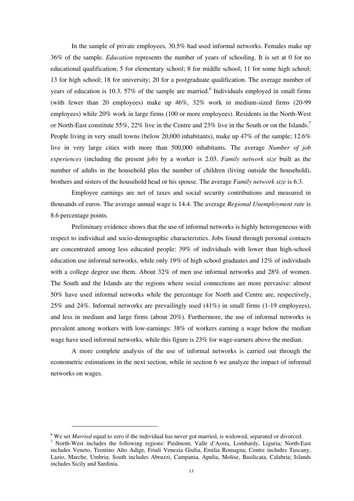In the sample of private employees, 30.5% had used informal networks. Females make up 36% of the sample. *Education* represents the number of years of schooling. It is set at 0 for no educational qualification; 5 for elementary school; 8 for middle school; 11 for some high school; 13 for high school; 18 for university; 20 for a postgraduate qualification. The average number of years of education is 10.3. 57% of the sample are married.<sup>6</sup> Individuals employed in small firms (with fewer than 20 employees) make up 46%, 32% work in medium-sized firms (20-99 employees) while 20% work in large firms (100 or more employees). Residents in the North-West or North-East constitute 55%, 22% live in the Centre and 23% live in the South or on the Islands.<sup>7</sup> People living in very small towns (below 20,000 inhabitants), make up 47% of the sample; 12.6% live in very large cities with more than 500,000 inhabitants. The average *Number of job experiences* (including the present job) by a worker is 2.03. *Family network size* built as the number of adults in the household plus the number of children (living outside the household), brothers and sisters of the household head or his spouse. The average *Family network size* is 6.3.

Employee earnings are net of taxes and social security contributions and measured in thousands of euros. The average annual wage is 14.4. The average *Regional Unemployment rate* is 8.6 percentage points.

Preliminary evidence shows that the use of informal networks is highly heterogeneous with respect to individual and socio-demographic characteristics. Jobs found through personal contacts are concentrated among less educated people: 39% of individuals with lower than high-school education use informal networks, while only 19% of high school graduates and 12% of individuals with a college degree use them. About 32% of men use informal networks and 28% of women. The South and the Islands are the regions where social connections are more pervasive: almost 50% have used informal networks while the percentage for North and Centre are, respectively, 25% and 24%. Informal networks are prevailingly used (41%) in small firms (1-19 employees), and less in medium and large firms (about 20%). Furthermore, the use of informal networks is prevalent among workers with low-earnings: 38% of workers earning a wage below the median wage have used informal networks, while this figure is 23% for wage-earners above the median.

A more complete analysis of the use of informal networks is carried out through the econometric estimations in the next section, while in section 6 we analyze the impact of informal networks on wages.

 $\overline{a}$ 

<sup>&</sup>lt;sup>6</sup> We set *Married* equal to zero if the individual has never got married, is widowed, separated or divorced.

<sup>7</sup> North-West includes the following regions: Piedmont, Valle d'Aosta, Lombardy, Liguria; North-East includes Veneto, Trentino Alto Adige, Friuli Venezia Giulia, Emilia Romagna; Centre includes Tuscany, Lazio, Marche, Umbria; South includes Abruzzi, Campania, Apulia, Molise, Basilicata, Calabria; Islands includes Sicily and Sardinia.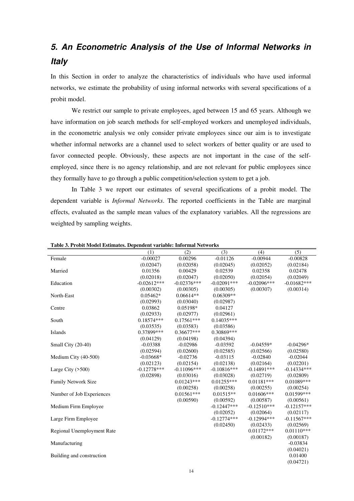# *5. An Econometric Analysis of the Use of Informal Networks in Italy*

In this Section in order to analyze the characteristics of individuals who have used informal networks, we estimate the probability of using informal networks with several specifications of a probit model.

We restrict our sample to private employees, aged between 15 and 65 years. Although we have information on job search methods for self-employed workers and unemployed individuals, in the econometric analysis we only consider private employees since our aim is to investigate whether informal networks are a channel used to select workers of better quality or are used to favor connected people. Obviously, these aspects are not important in the case of the selfemployed, since there is no agency relationship, and are not relevant for public employees since they formally have to go through a public competition/selection system to get a job.

In Table 3 we report our estimates of several specifications of a probit model. The dependent variable is *Informal Networks*. The reported coefficients in the Table are marginal effects, evaluated as the sample mean values of the explanatory variables. All the regressions are weighted by sampling weights.

|                            | (1)           | (2)            | (3)            | (4)           | (5)           |
|----------------------------|---------------|----------------|----------------|---------------|---------------|
| Female                     | $-0.00027$    | 0.00296        | $-0.01126$     | $-0.00944$    | $-0.00828$    |
|                            | (0.02047)     | (0.02058)      | (0.02045)      | (0.02052)     | (0.02184)     |
| Married                    | 0.01356       | 0.00429        | 0.02539        | 0.02358       | 0.02478       |
|                            | (0.02018)     | (0.02047)      | (0.02050)      | (0.02054)     | (0.02049)     |
| Education                  | $-0.02612***$ | $-0.02376***$  | $-0.02091***$  | $-0.02096***$ | $-0.01682***$ |
|                            | (0.00302)     | (0.00305)      | (0.00305)      | (0.00307)     | (0.00314)     |
| North-East                 | $0.05462*$    | $0.06614**$    | $0.06309**$    |               |               |
|                            | (0.02993)     | (0.03040)      | (0.02987)      |               |               |
| Centre                     | 0.03862       | 0.05198*       | 0.04127        |               |               |
|                            | (0.02933)     | (0.02977)      | (0.02961)      |               |               |
| South                      | $0.18574***$  | $0.17561***$   | $0.14035***$   |               |               |
|                            | (0.03535)     | (0.03583)      | (0.03586)      |               |               |
| Islands                    | 0.37899***    | $0.36677***$   | 0.30869***     |               |               |
|                            | (0.04129)     | (0.04198)      | (0.04394)      |               |               |
| Small City (20-40)         | $-0.03388$    | $-0.02986$     | $-0.03592$     | $-0.04559*$   | $-0.04296*$   |
|                            | (0.02594)     | (0.02600)      | (0.02585)      | (0.02566)     | (0.02580)     |
| Medium City (40-500)       | $-0.03668*$   | $-0.02736$     | $-0.03115$     | $-0.02840$    | $-0.02044$    |
|                            | (0.02123)     | (0.02154)      | (0.02138)      | (0.02164)     | (0.02201)     |
| Large City $(500)$         | $-0.12778***$ | $-0.11096$ *** | $-0.10816***$  | $-0.14891***$ | $-0.14334***$ |
|                            | (0.02898)     | (0.03016)      | (0.03028)      | (0.02719)     | (0.02809)     |
| Family Network Size        |               | $0.01243***$   | $0.01255***$   | $0.01181***$  | 0.01089***    |
|                            |               | (0.00258)      | (0.00258)      | (0.00255)     | (0.00254)     |
| Number of Job Experiences  |               | $0.01561***$   | $0.01515**$    | $0.01606***$  | 0.01599***    |
|                            |               | (0.00590)      | (0.00592)      | (0.00587)     | (0.00561)     |
| Medium Firm Employee       |               |                | $-0.12447$ *** | $-0.12510***$ | $-0.12157***$ |
|                            |               |                | (0.02052)      | (0.02064)     | (0.02117)     |
| Large Firm Employee        |               |                | $-0.12774***$  | $-0.12994***$ | $-0.11567***$ |
|                            |               |                | (0.02450)      | (0.02433)     | (0.02569)     |
| Regional Unemployment Rate |               |                |                | $0.01172***$  | $0.01110***$  |
|                            |               |                |                | (0.00182)     | (0.00187)     |
| Manufacturing              |               |                |                |               | $-0.03834$    |
|                            |               |                |                |               | (0.04021)     |
| Building and construction  |               |                |                |               | 0.01400       |
|                            |               |                |                |               | (0.04721)     |

**Table 3. Probit Model Estimates. Dependent variable: Informal Networks**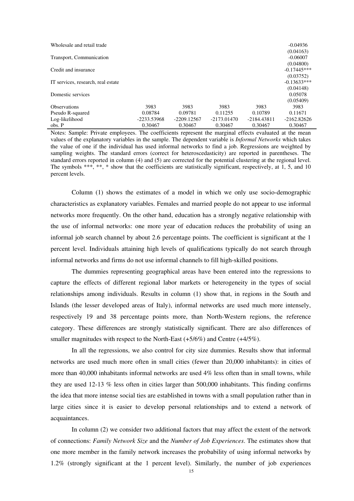| Wholesale and retail trade         |               |               |               |             | $-0.04936$    |
|------------------------------------|---------------|---------------|---------------|-------------|---------------|
|                                    |               |               |               |             | (0.04163)     |
| Transport, Communication           |               |               |               |             | $-0.06007$    |
|                                    |               |               |               |             | (0.04800)     |
| Credit and insurance               |               |               |               |             | $-0.17445***$ |
|                                    |               |               |               |             | (0.03752)     |
| IT services, research, real estate |               |               |               |             | $-0.13633***$ |
|                                    |               |               |               |             | (0.04148)     |
| Domestic services                  |               |               |               |             | 0.05078       |
|                                    |               |               |               |             | (0.05409)     |
| <b>Observations</b>                | 3983          | 3983          | 3983          | 3983        | 3983          |
| Pseudo R-squared                   | 0.08784       | 0.09781       | 0.11255       | 0.10789     | 0.11671       |
| Log-likelihood                     | $-2233.53968$ | $-2209.12567$ | $-2173.01470$ | -2184.43811 | $-2162.82626$ |
| obs. P                             | 0.30467       | 0.30467       | 0.30467       | 0.30467     | 0.30467       |

Notes: Sample: Private employees. The coefficients represent the marginal effects evaluated at the mean values of the explanatory variables in the sample. The dependent variable is *Informal Networks* which takes the value of one if the individual has used informal networks to find a job. Regressions are weighted by sampling weights. The standard errors (correct for heteroscedasticity) are reported in parentheses. The standard errors reported in column (4) and (5) are corrected for the potential clustering at the regional level. The symbols \*\*\*, \*\*, \* show that the coefficients are statistically significant, respectively, at 1, 5, and 10 percent levels.

Column (1) shows the estimates of a model in which we only use socio-demographic characteristics as explanatory variables. Females and married people do not appear to use informal networks more frequently. On the other hand, education has a strongly negative relationship with the use of informal networks: one more year of education reduces the probability of using an informal job search channel by about 2.6 percentage points. The coefficient is significant at the 1 percent level. Individuals attaining high levels of qualifications typically do not search through informal networks and firms do not use informal channels to fill high-skilled positions.

The dummies representing geographical areas have been entered into the regressions to capture the effects of different regional labor markets or heterogeneity in the types of social relationships among individuals. Results in column (1) show that, in regions in the South and Islands (the lesser developed areas of Italy), informal networks are used much more intensely, respectively 19 and 38 percentage points more, than North-Western regions, the reference category. These differences are strongly statistically significant. There are also differences of smaller magnitudes with respect to the North-East  $(+5/6%)$  and Centre  $(+4/5%)$ .

In all the regressions, we also control for city size dummies. Results show that informal networks are used much more often in small cities (fewer than 20,000 inhabitants): in cities of more than  $40,000$  inhabitants informal networks are used  $4\%$  less often than in small towns, while they are used 12-13 % less often in cities larger than 500,000 inhabitants. This finding confirms the idea that more intense social ties are established in towns with a small population rather than in large cities since it is easier to develop personal relationships and to extend a network of acquaintances.

In column (2) we consider two additional factors that may affect the extent of the network of connections: *Family Network Size* and the *Number of Job Experiences*. The estimates show that one more member in the family network increases the probability of using informal networks by 1.2% (strongly significant at the 1 percent level). Similarly, the number of job experiences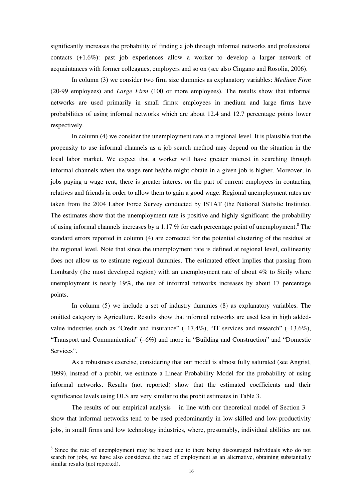significantly increases the probability of finding a job through informal networks and professional contacts (+1.6%): past job experiences allow a worker to develop a larger network of acquaintances with former colleagues, employers and so on (see also Cingano and Rosolia, 2006).

In column (3) we consider two firm size dummies as explanatory variables: *Medium Firm* (20-99 employees) and *Large Firm* (100 or more employees). The results show that informal networks are used primarily in small firms: employees in medium and large firms have probabilities of using informal networks which are about 12.4 and 12.7 percentage points lower respectively.

In column (4) we consider the unemployment rate at a regional level. It is plausible that the propensity to use informal channels as a job search method may depend on the situation in the local labor market. We expect that a worker will have greater interest in searching through informal channels when the wage rent he/she might obtain in a given job is higher. Moreover, in jobs paying a wage rent, there is greater interest on the part of current employees in contacting relatives and friends in order to allow them to gain a good wage. Regional unemployment rates are taken from the 2004 Labor Force Survey conducted by ISTAT (the National Statistic Institute). The estimates show that the unemployment rate is positive and highly significant: the probability of using informal channels increases by a 1.17 % for each percentage point of unemployment.<sup>8</sup> The standard errors reported in column (4) are corrected for the potential clustering of the residual at the regional level. Note that since the unemployment rate is defined at regional level, collinearity does not allow us to estimate regional dummies. The estimated effect implies that passing from Lombardy (the most developed region) with an unemployment rate of about 4% to Sicily where unemployment is nearly 19%, the use of informal networks increases by about 17 percentage points.

In column (5) we include a set of industry dummies (8) as explanatory variables. The omitted category is Agriculture. Results show that informal networks are used less in high addedvalue industries such as "Credit and insurance"  $(-17.4\%)$ , "IT services and research"  $(-13.6\%)$ , "Transport and Communication" (–6%) and more in "Building and Construction" and "Domestic Services".

As a robustness exercise, considering that our model is almost fully saturated (see Angrist, 1999), instead of a probit, we estimate a Linear Probability Model for the probability of using informal networks. Results (not reported) show that the estimated coefficients and their significance levels using OLS are very similar to the probit estimates in Table 3.

The results of our empirical analysis – in line with our theoretical model of Section  $3$ show that informal networks tend to be used predominantly in low-skilled and low-productivity jobs, in small firms and low technology industries, where, presumably, individual abilities are not

 $\overline{a}$ 

<sup>&</sup>lt;sup>8</sup> Since the rate of unemployment may be biased due to there being discouraged individuals who do not search for jobs, we have also considered the rate of employment as an alternative, obtaining substantially similar results (not reported).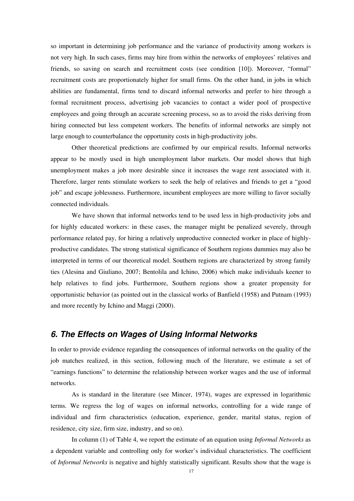so important in determining job performance and the variance of productivity among workers is not very high. In such cases, firms may hire from within the networks of employees' relatives and friends, so saving on search and recruitment costs (see condition [10]). Moreover, "formal" recruitment costs are proportionately higher for small firms. On the other hand, in jobs in which abilities are fundamental, firms tend to discard informal networks and prefer to hire through a formal recruitment process, advertising job vacancies to contact a wider pool of prospective employees and going through an accurate screening process, so as to avoid the risks deriving from hiring connected but less competent workers. The benefits of informal networks are simply not large enough to counterbalance the opportunity costs in high-productivity jobs.

Other theoretical predictions are confirmed by our empirical results. Informal networks appear to be mostly used in high unemployment labor markets. Our model shows that high unemployment makes a job more desirable since it increases the wage rent associated with it. Therefore, larger rents stimulate workers to seek the help of relatives and friends to get a "good job" and escape joblessness. Furthermore, incumbent employees are more willing to favor socially connected individuals.

We have shown that informal networks tend to be used less in high-productivity jobs and for highly educated workers: in these cases, the manager might be penalized severely, through performance related pay, for hiring a relatively unproductive connected worker in place of highlyproductive candidates. The strong statistical significance of Southern regions dummies may also be interpreted in terms of our theoretical model. Southern regions are characterized by strong family ties (Alesina and Giuliano, 2007; Bentolila and Ichino, 2006) which make individuals keener to help relatives to find jobs. Furthermore, Southern regions show a greater propensity for opportunistic behavior (as pointed out in the classical works of Banfield (1958) and Putnam (1993) and more recently by Ichino and Maggi (2000).

### *6. The Effects on Wages of Using Informal Networks*

In order to provide evidence regarding the consequences of informal networks on the quality of the job matches realized, in this section, following much of the literature, we estimate a set of "earnings functions" to determine the relationship between worker wages and the use of informal networks.

As is standard in the literature (see Mincer, 1974), wages are expressed in logarithmic terms. We regress the log of wages on informal networks, controlling for a wide range of individual and firm characteristics (education, experience, gender, marital status, region of residence, city size, firm size, industry, and so on).

In column (1) of Table 4, we report the estimate of an equation using *Informal Networks* as a dependent variable and controlling only for worker's individual characteristics. The coefficient of *Informal Networks* is negative and highly statistically significant. Results show that the wage is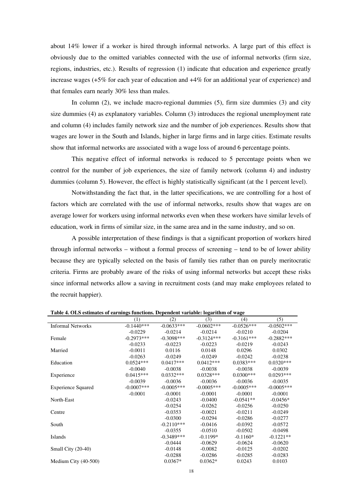about 14% lower if a worker is hired through informal networks. A large part of this effect is obviously due to the omitted variables connected with the use of informal networks (firm size, regions, industries, etc.). Results of regression (1) indicate that education and experience greatly increase wages (+5% for each year of education and +4% for an additional year of experience) and that females earn nearly 30% less than males.

In column (2), we include macro-regional dummies (5), firm size dummies (3) and city size dummies (4) as explanatory variables. Column (3) introduces the regional unemployment rate and column (4) includes family network size and the number of job experiences. Results show that wages are lower in the South and Islands, higher in large firms and in large cities. Estimate results show that informal networks are associated with a wage loss of around 6 percentage points.

This negative effect of informal networks is reduced to 5 percentage points when we control for the number of job experiences, the size of family network (column 4) and industry dummies (column 5). However, the effect is highly statistically significant (at the 1 percent level).

Notwithstanding the fact that, in the latter specifications, we are controlling for a host of factors which are correlated with the use of informal networks, results show that wages are on average lower for workers using informal networks even when these workers have similar levels of education, work in firms of similar size, in the same area and in the same industry, and so on.

A possible interpretation of these findings is that a significant proportion of workers hired through informal networks – without a formal process of screening – tend to be of lower ability because they are typically selected on the basis of family ties rather than on purely meritocratic criteria. Firms are probably aware of the risks of using informal networks but accept these risks since informal networks allow a saving in recruitment costs (and may make employees related to the recruit happier).

|                           | (1)           | (2)           | (3)           | (4)          | (5)          |
|---------------------------|---------------|---------------|---------------|--------------|--------------|
| <b>Informal Networks</b>  | $-0.1440***$  | $-0.0633***$  | $-0.0602$ *** | $-0.0526***$ | $-0.0502***$ |
|                           | $-0.0229$     | $-0.0214$     | $-0.0214$     | $-0.0210$    | $-0.0204$    |
| Female                    | $-0.2973***$  | $-0.3098$ *** | $-0.3124***$  | $-0.3161***$ | $-0.2882***$ |
|                           | $-0.0233$     | $-0.0223$     | $-0.0223$     | $-0.0219$    | $-0.0243$    |
| Married                   | $-0.0011$     | 0.0116        | 0.0148        | 0.0296       | 0.0302       |
|                           | $-0.0263$     | $-0.0249$     | $-0.0249$     | $-0.0242$    | $-0.0238$    |
| Education                 | $0.0524***$   | $0.0417***$   | $0.0412***$   | $0.0383***$  | $0.0320***$  |
|                           | $-0.0040$     | $-0.0038$     | $-0.0038$     | $-0.0038$    | $-0.0039$    |
| Experience                | $0.0415***$   | $0.0332***$   | $0.0328***$   | $0.0300$ *** | $0.0293***$  |
|                           | $-0.0039$     | $-0.0036$     | $-0.0036$     | $-0.0036$    | $-0.0035$    |
| <b>Experience Squared</b> | $-0.0007$ *** | $-0.0005***$  | $-0.0005***$  | $-0.0005***$ | $-0.0005***$ |
|                           | $-0.0001$     | $-0.0001$     | $-0.0001$     | $-0.0001$    | $-0.0001$    |
| North-East                |               | $-0.0243$     | $-0.0400$     | $-0.0541**$  | $-0.0456*$   |
|                           |               | $-0.0254$     | $-0.0262$     | $-0.0256$    | $-0.0250$    |
| Centre                    |               | $-0.0353$     | $-0.0021$     | $-0.0211$    | $-0.0249$    |
|                           |               | $-0.0300$     | $-0.0294$     | $-0.0286$    | $-0.0277$    |
| South                     |               | $-0.2110***$  | $-0.0416$     | $-0.0392$    | $-0.0572$    |
|                           |               | $-0.0355$     | $-0.0510$     | $-0.0502$    | $-0.0498$    |
| Islands                   |               | $-0.3489***$  | $-0.1199*$    | $-0.1160*$   | $-0.1221**$  |
|                           |               | $-0.0444$     | $-0.0629$     | $-0.0624$    | $-0.0620$    |
| Small City (20-40)        |               | $-0.0148$     | $-0.0082$     | $-0.0125$    | $-0.0202$    |
|                           |               | $-0.0288$     | $-0.0286$     | $-0.0285$    | $-0.0283$    |
| Medium City (40-500)      |               | $0.0367*$     | $0.0362*$     | 0.0243       | 0.0103       |

**Table 4. OLS estimates of earnings functions. Dependent variable: logarithm of wage**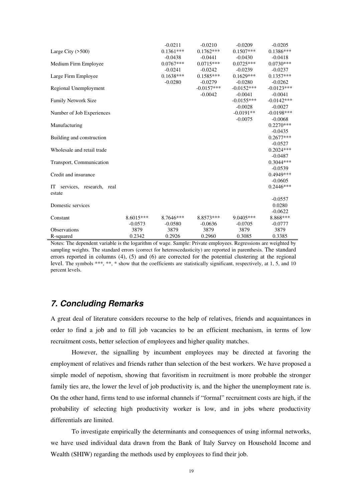|                             |             | $-0.0211$   | $-0.0210$    | $-0.0209$    | $-0.0205$    |
|-----------------------------|-------------|-------------|--------------|--------------|--------------|
| Large City $(500)$          |             | $0.1361***$ | $0.1762***$  | $0.1507***$  | $0.1386***$  |
|                             |             | $-0.0438$   | $-0.0441$    | $-0.0430$    | $-0.0418$    |
| Medium Firm Employee        |             | $0.0767***$ | $0.0715***$  | $0.0725***$  | $0.0730***$  |
|                             |             | $-0.0241$   | $-0.0242$    | $-0.0239$    | $-0.0237$    |
| Large Firm Employee         |             | $0.1638***$ | $0.1585***$  | $0.1629***$  | $0.1357***$  |
|                             |             | $-0.0280$   | $-0.0279$    | $-0.0280$    | $-0.0262$    |
| Regional Unemployment       |             |             | $-0.0157***$ | $-0.0152***$ | $-0.0123***$ |
|                             |             |             | $-0.0042$    | $-0.0041$    | $-0.0041$    |
| <b>Family Network Size</b>  |             |             |              | $-0.0155***$ | $-0.0142***$ |
|                             |             |             |              | $-0.0028$    | $-0.0027$    |
| Number of Job Experiences   |             |             |              | $-0.0191**$  | $-0.0198***$ |
|                             |             |             |              | $-0.0075$    | $-0.0068$    |
| Manufacturing               |             |             |              |              | $0.2270***$  |
|                             |             |             |              |              | $-0.0435$    |
| Building and construction   |             |             |              |              | $0.2677***$  |
|                             |             |             |              |              | $-0.0527$    |
| Wholesale and retail trade  |             |             |              |              | $0.2024***$  |
|                             |             |             |              |              | $-0.0487$    |
| Transport, Communication    |             |             |              |              | $0.3044***$  |
|                             |             |             |              |              | $-0.0539$    |
| Credit and insurance        |             |             |              |              | 0.4949***    |
|                             |             |             |              |              | $-0.0605$    |
| IT services, research, real |             |             |              |              | $0.2446***$  |
| estate                      |             |             |              |              |              |
|                             |             |             |              |              | $-0.0557$    |
| Domestic services           |             |             |              |              | 0.0280       |
|                             |             |             |              |              | $-0.0622$    |
| Constant                    | $8.6015***$ | $8.7646***$ | 8.8573***    | $9.0405***$  | 8.868***     |
|                             | $-0.0573$   | $-0.0580$   | $-0.0636$    | $-0.0705$    | $-0.0777$    |
| <b>Observations</b>         | 3879        | 3879        | 3879         | 3879         | 3879         |
| R-squared                   | 0.2342      | 0.2926      | 0.2960       | 0.3085       | 0.3385       |

Notes: The dependent variable is the logarithm of wage. Sample: Private employees. Regressions are weighted by sampling weights. The standard errors (correct for heteroscedasticity) are reported in parenthesis. The standard errors reported in columns (4), (5) and (6) are corrected for the potential clustering at the regional level. The symbols \*\*\*, \*\*, \* show that the coefficients are statistically significant, respectively, at 1, 5, and 10 percent levels.

# *7. Concluding Remarks*

A great deal of literature considers recourse to the help of relatives, friends and acquaintances in order to find a job and to fill job vacancies to be an efficient mechanism, in terms of low recruitment costs, better selection of employees and higher quality matches.

However, the signalling by incumbent employees may be directed at favoring the employment of relatives and friends rather than selection of the best workers. We have proposed a simple model of nepotism, showing that favoritism in recruitment is more probable the stronger family ties are, the lower the level of job productivity is, and the higher the unemployment rate is. On the other hand, firms tend to use informal channels if "formal" recruitment costs are high, if the probability of selecting high productivity worker is low, and in jobs where productivity differentials are limited.

To investigate empirically the determinants and consequences of using informal networks, we have used individual data drawn from the Bank of Italy Survey on Household Income and Wealth (SHIW) regarding the methods used by employees to find their job.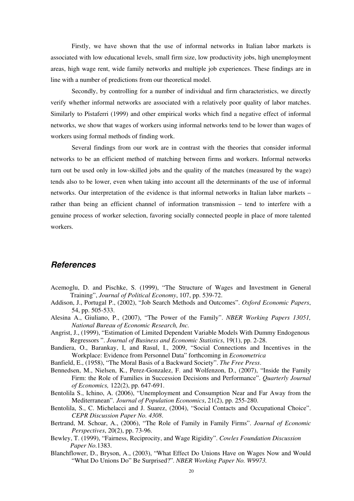Firstly, we have shown that the use of informal networks in Italian labor markets is associated with low educational levels, small firm size, low productivity jobs, high unemployment areas, high wage rent, wide family networks and multiple job experiences. These findings are in line with a number of predictions from our theoretical model.

Secondly, by controlling for a number of individual and firm characteristics, we directly verify whether informal networks are associated with a relatively poor quality of labor matches. Similarly to Pistaferri (1999) and other empirical works which find a negative effect of informal networks, we show that wages of workers using informal networks tend to be lower than wages of workers using formal methods of finding work.

Several findings from our work are in contrast with the theories that consider informal networks to be an efficient method of matching between firms and workers. Informal networks turn out be used only in low-skilled jobs and the quality of the matches (measured by the wage) tends also to be lower, even when taking into account all the determinants of the use of informal networks. Our interpretation of the evidence is that informal networks in Italian labor markets – rather than being an efficient channel of information transmission – tend to interfere with a genuine process of worker selection, favoring socially connected people in place of more talented workers.

### *References*

- Acemoglu, D. and Pischke, S. (1999), "The Structure of Wages and Investment in General Training", *Journal of Political Economy*, 107, pp. 539-72.
- Addison, J., Portugal P., (2002), "Job Search Methods and Outcomes". *Oxford Economic Papers*, 54, pp. 505-533.
- Alesina A., Giuliano, P., (2007), "The Power of the Family". *NBER Working Papers 13051, National Bureau of Economic Research, Inc.*
- Angrist, J., (1999), "Estimation of Limited Dependent Variable Models With Dummy Endogenous Regressors ". *Journal of Business and Economic Statistics*, 19(1), pp. 2-28.
- Bandiera, O., Barankay, I, and Rasul, I., 2009, "Social Connections and Incentives in the Workplace: Evidence from Personnel Data" forthcoming in *Econometrica*
- Banfield, E., (1958), "The Moral Basis of a Backward Society". *The Free Press*.
- Bennedsen, M., Nielsen, K., Perez-Gonzalez, F. and Wolfenzon, D., (2007), "Inside the Family Firm: the Role of Families in Succession Decisions and Performance". *Quarterly Journal of Economics,* 122(2), pp. 647-691.
- Bentolila S., Ichino, A. (2006), "Unemployment and Consumption Near and Far Away from the Mediterranean". *Journal of Population Economics*, 21(2), pp. 255-280.
- Bentolila, S., C. Michelacci and J. Suarez, (2004), "Social Contacts and Occupational Choice". *CEPR Discussion Paper No. 4308*.
- Bertrand, M. Schoar, A., (2006), "The Role of Family in Family Firms". *Journal of Economic Perspectives*, 20(2), pp. 73-96.
- Bewley, T. (1999), "Fairness, Reciprocity, and Wage Rigidity". *Cowles Foundation Discussion Paper No.*1383.
- Blanchflower, D., Bryson, A., (2003), "What Effect Do Unions Have on Wages Now and Would "What Do Unions Do" Be Surprised?". *NBER Working Paper No. W9973.*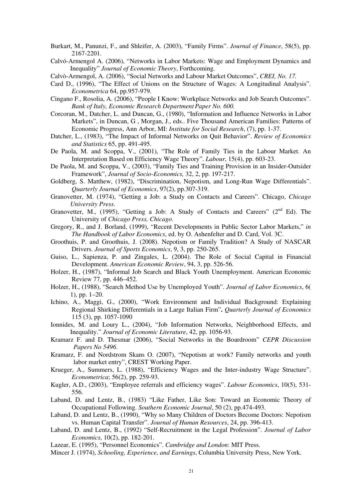- Burkart, M., Panunzi, F., and Shleifer, A. (2003), "Family Firms". *Journal of Finance*, 58(5), pp. 2167-2201.
- Calvó-Armengol A. (2006), "Networks in Labor Markets: Wage and Employment Dynamics and Inequality" *Journal of Economic Theory*, Forthcoming.
- Calvò-Armengol, A. (2006), "Social Networks and Labour Market Outcomes", *CREI, No. 17.*
- Card D., (1996), "The Effect of Unions on the Structure of Wages: A Longitudinal Analysis". *Econometrica* 64, pp.957-979.
- Cingano F., Rosolia, A. (2006), "People I Know: Workplace Networks and Job Search Outcomes". *Bank of Italy, Economic Research Department Paper No. 600.*
- Corcoran, M., Datcher, L. and Duncan, G., (1980), "Information and Influence Networks in Labor Markets", in Duncan, G , Morgan, J., eds.. Five Thousand American Families: Patterns of Economic Progress, Ann Arbor, MI: *Institute for Social Research*, (7), pp. 1-37.
- Datcher, L., (1983), "The Impact of Informal Networks on Quit Behavior". *Review of Economics and Statistics* 65, pp. 491-495.
- De Paola, M. and Scoppa, V., (2001), "The Role of Family Ties in the Labour Market. An Interpretation Based on Efficiency Wage Theory". *Labour*, 15(4), pp. 603-23.
- De Paola, M. and Scoppa, V., (2003), "Family Ties and Training Provision in an Insider-Outsider Framework", *Journal of Socio-Economics,* 32, 2, pp. 197-217.
- Goldberg, S. Matthew, (1982), "Discrimination, Nepotism, and Long-Run Wage Differentials". *Quarterly Journal of Economics*, 97(2), pp.307-319.
- Granovetter, M. (1974), "Getting a Job: a Study on Contacts and Careers". Chicago, *Chicago University Press*.
- Granovetter, M., (1995), "Getting a Job: A Study of Contacts and Careers" ( $2<sup>nd</sup> Ed$ ). The University of *Chicago Press, Chicago.*
- Gregory, R., and J. Borland, (1999), "Recent Developments in Public Sector Labor Markets," *in The Handbook of Labor Economics*, ed. by O. Ashenfelter and D. Card, Vol. 3C.
- Groothuis, P. and Groothuis, J. (2008). Nepotism or Family Tradition? A Study of NASCAR Drivers. *Journal of Sports Economics*, 9, 3, pp. 250-265.
- Guiso, L., Sapienza, P. and Zingales, L. (2004). The Role of Social Capital in Financial Development. *American Economic Review*, 94, 3, pp. 526-56.
- Holzer, H., (1987), "Informal Job Search and Black Youth Unemployment. American Economic Review 77, pp. 446–452.
- Holzer, H., (1988), "Search Method Use by Unemployed Youth". *Journal of Labor Economics*, 6( 1), pp. 1–20.
- Ichino, A., Maggi, G., (2000), "Work Environment and Individual Background: Explaining Regional Shirking Differentials in a Large Italian Firm"**.** *Quarterly Journal of Economics*  115 (3), pp. 1057-1090
- Ionnides, M. and Loury L., (2004), "Job Information Networks, Neighborhood Effects, and Inequality." *Journal of Economic Literature*, 42, pp. 1056-93.
- Kramarz F. and D. Thesmar (2006), "Social Networks in the Boardroom" *CEPR Discussion Papers No 5496*.
- Kramarz, F. and Nordstrom Skans O. (2007), "Nepotism at work? Family networks and youth labor market entry", CREST Working Paper.
- Krueger, A., Summers, L. (1988), "Efficiency Wages and the Inter-industry Wage Structure". *Econometrica*; 56(2), pp. 259-93.
- Kugler, A.D., (2003), "Employee referrals and efficiency wages". *Labour Economics*, 10(5), 531- 556.
- Laband, D. and Lentz, B., (1983) "Like Father, Like Son: Toward an Economic Theory of Occupational Following. *Southern Economic Journal*, 50 (2), pp.474-493.
- Laband, D. and Lentz, B., (1990), "Why so Many Children of Doctors Become Doctors: Nepotism vs. Human Capital Transfer". *Journal of Human Resources*, 24, pp. 396-413.
- Laband, D. and Lentz, B., (1992) "Self-Recruitment in the Legal Profession". *Journal of Labor Economics*, 10(2), pp. 182-201.
- Lazear, E. (1995), "Personnel Economics". *Cambridge and London*: MIT Press.
- Mincer J. (1974), *Schooling, Experience, and Earnings*, Columbia University Press, New York.